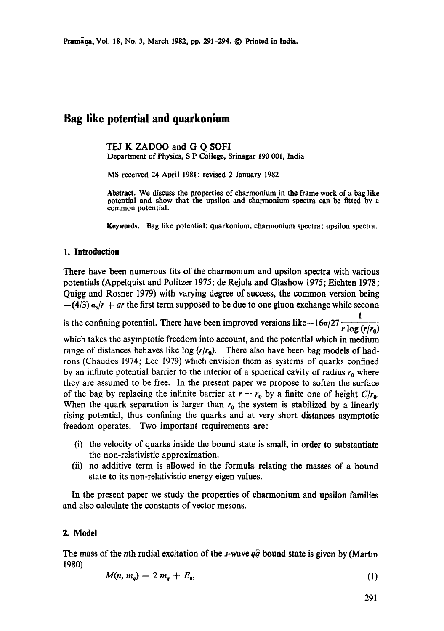# **Bag like potential and quarkonium**

TEJ K ZADOO and G O SOFI Department of Physics, S P Colleg¢, Srinagar 190 001, India

MS received 24 April 1981; revised 2 January 1982

Abstract. We discuss the properties of charmonium in the frame work of a bag like potential and show that the upsilon and charmonium spectra can be **fitted** by a common potential.

**Keywords.** Bag like potential; quarkonium, charmonium spectra; upsilon spectra.

### **1. Introduction**

There have been numerous fits of the charmonium and upsilon spectra with various potentials (Appelquist and Politzer 1975; de Rejula and Glashow 1975; Eiehten 1978; Quigg and Rosner 1979) with varying degree of success, the common version being  $-(4/3) a<sub>s</sub>/r + ar$  the first term supposed to be due to one gluon exchange while second

1 is the confining potential. There have been improved versions like- $16\pi/27 \frac{1}{\pi}$ which takes the asymptotic freedom into account, and the potential which in medium range of distances behaves like  $log (r/r_0)$ . There also have been bag models of hadrons (Chaddos 1974; Lee 1979) which envision them as systems of quarks confined by an infinite potential barrier to the interior of a spherical cavity of radius  $r_0$  where they are assumed to be free. In the present paper we propose to soften the surface of the bag by replacing the infinite barrier at  $r = r_0$  by a finite one of height  $C/r_0$ . When the quark separation is larger than  $r_0$  the system is stabilized by a linearly rising potential, thus confining the quarks and at very short distances asymptotic freedom operates. Two important requirements are:

- (i) the velocity of quarks inside the bound state is small, in order to substantiate the non-relativistic approximation.
- (ii) no additive term is allowed in the formula relating the masses of a bound state to its non-relativistic energy eigen values.

In the present paper we study the properties of charmonium and upsilon families and also calculate the constants of vector mesons.

### **2. Model**

The mass of the nth radial excitation of the s-wave  $q\bar{q}$  bound state is given by (Martin 1980)

$$
M(n, m_q) = 2 m_q + E_n, \qquad (1)
$$

291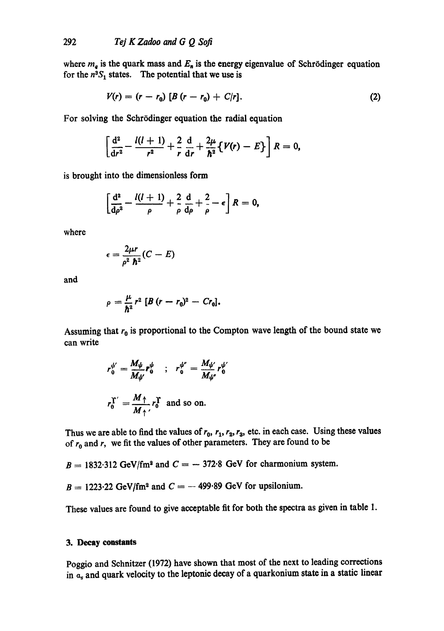where  $m_a$  is the quark mass and  $E_a$  is the energy eigenvalue of Schrödinger equation for the  $n^3S_1$  states. The potential that we use is

$$
V(r) = (r - r_0) [B (r - r_0) + C/r]. \tag{2}
$$

For solving the Schrödinger equation the radial equation

$$
\left[\frac{\mathrm{d}^2}{\mathrm{d}r^2}-\frac{l(l+1)}{r^2}+\frac{2}{r}\frac{\mathrm{d}}{\mathrm{d}r}+\frac{2\mu}{\hbar^2}\left\{\mathit{V}(r)-E\right\}\right]R=0,
$$

is brought into the dimensionless form

$$
\left[\frac{\mathrm{d}^2}{\mathrm{d}\rho^2}-\frac{l(l+1)}{\rho}+\frac{2}{\rho}\frac{\mathrm{d}}{\mathrm{d}\rho}+\frac{2}{\rho}-\epsilon\right]R=0,
$$

where

$$
\epsilon = \frac{2\mu r}{\rho^2 \; \hbar^2} (C - E)
$$

**and** 

$$
\rho=\frac{\mu}{\hbar^2}r^2\left[B(r-r_0)^2-Cr_0\right].
$$

Assuming that  $r_0$  is proportional to the Compton wave length of the bound state we can write

$$
r_0^{\psi'} = \frac{M_{\psi}}{M_{\psi'}} r_0^{\psi} \quad ; \quad r_0^{\psi''} = \frac{M_{\psi'}}{M_{\psi''}} r_0^{\psi'}
$$

$$
r_0^{\Upsilon'} = \frac{M_{\uparrow}}{M_{\uparrow'}} r_0^{\Upsilon} \text{ and so on.}
$$

Thus we are able to find the values of  $r_0$ ,  $r_1$ ,  $r_2$ ,  $r_3$ , etc. in each case. Using these values of  $r_0$  and r, we fit the values of other parameters. They are found to be

 $B = 1832.312$  GeV/fm<sup>2</sup> and  $C = -372.8$  GeV for charmonium system.

 $B = 1223.22$  GeV/fm<sup>2</sup> and  $C = -499.89$  GeV for upsilonium.

These values are found to give acceptable fit for both the spectra as given in table 1.

## **3. Decay constants**

Poggio and Schnitzer (1972) have shown that most of the next to leading corrections in  $a_s$  and quark velocity to the leptonic decay of a quarkonium state in a static linear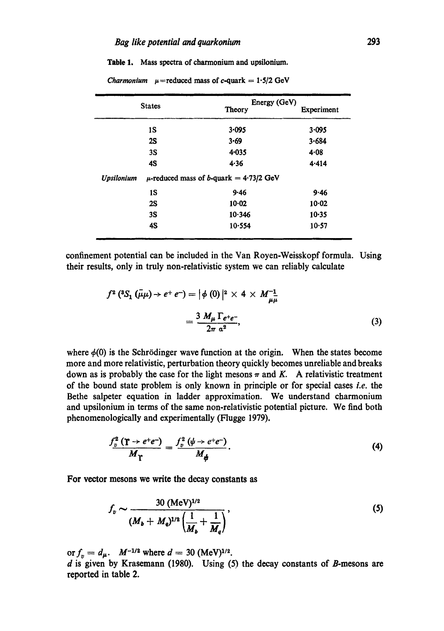Table 1. Mass spectra of charmonium and upsilonium.

*Charmonium*  $\mu$ =reduced mass of c-quark = 1.5/2 GeV

| <b>States</b>     | Energy (GeV)                                |            |
|-------------------|---------------------------------------------|------------|
|                   | <b>Theory</b>                               | Experiment |
| 1S                | 3.095                                       | 3.095      |
| 2S                | 3.69                                        | 3.684      |
| 3S                | 4.035                                       | $4 - 08$   |
| 4S                | 4.36                                        | 4.414      |
| <b>Upsilonium</b> | $\mu$ -reduced mass of b-quark = 4.73/2 GeV |            |
| 1S                | 9.46                                        | 9.46       |
| 2S                | 10.02                                       | $10-02$    |
| 3S                | 10.346                                      | $10 - 35$  |
| 4S                | 10.554                                      | $10-57$    |
|                   |                                             |            |

confinement potential can be included in the Van Royen-Weisskopf formula. Using their results, only in truly non-relativistic system we can reliably calculate

$$
f^{2} ({}^{8}S_{1} (\bar{\mu}\mu) \rightarrow e^{+} e^{-}) = |\phi (0)|^{2} \times 4 \times M_{\mu\mu}^{-1}
$$
  
= 
$$
\frac{3 M_{\mu} \Gamma_{e^{+}e^{-}}}{2\pi a^{2}},
$$
 (3)

where  $\phi(0)$  is the Schrödinger wave function at the origin. When the states become more and more relativistic, perturbation theory quickly becomes unreliable and breaks down as is probably the case for the light mesons  $\pi$  and K. A relativistic treatment of the bound state problem is only known in principle or for special eases *Le.* the Bethe salpeter equation in ladder approximation. We understand charmonium and upsilonium in terms of the same non-relativistic potential picture. We find both phenomenologically and experimentally (Flugge 1979).

$$
\frac{f_p^2(\mathbf{T} \to e^+e^-)}{M_{\mathbf{T}}} = \frac{f_p^2(\psi \to e^+e^-)}{M_{\phi}}.
$$
\n(4)

For vector mesons we write the decay constants as

$$
f_v \sim \frac{30 \, (\text{MeV})^{1/2}}{(M_b + M_q)^{1/2} \left(\frac{1}{M_b} + \frac{1}{M_q}\right)},\tag{5}
$$

or  $f_v = d_\mu$ .  $M^{-1/2}$  where  $d = 30$  (MeV)<sup>1/2</sup>.

**d** is given by Krasemann (1980). Using (5) the decay constants of B-mesons are **reported in table 2.**